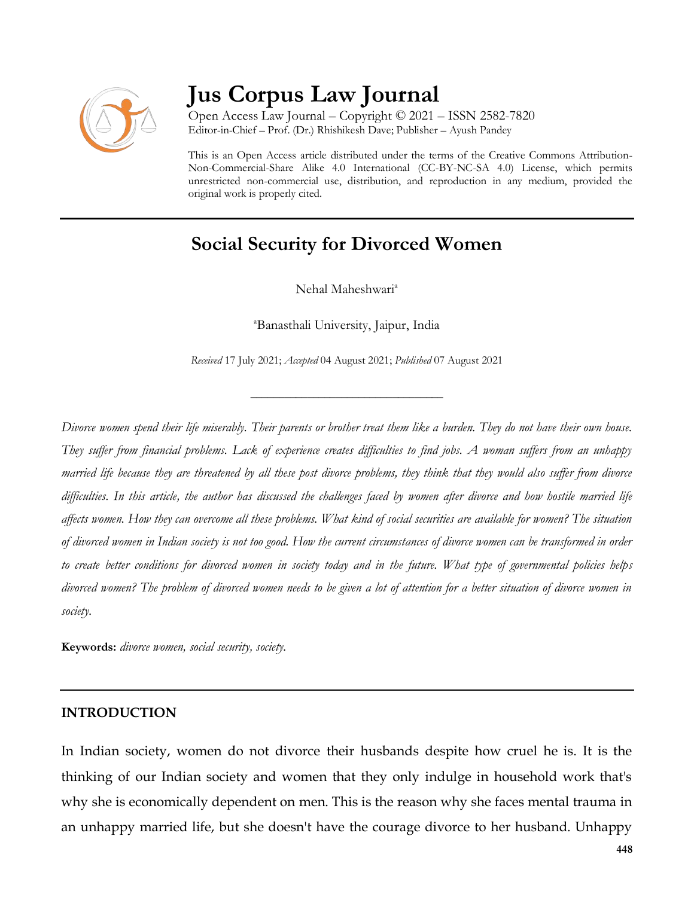

# **Jus Corpus Law Journal**

Open Access Law Journal – Copyright © 2021 – ISSN 2582-7820 Editor-in-Chief – Prof. (Dr.) Rhishikesh Dave; Publisher – Ayush Pandey

This is an Open Access article distributed under the terms of the Creative Commons Attribution-Non-Commercial-Share Alike 4.0 International (CC-BY-NC-SA 4.0) License, which permits unrestricted non-commercial use, distribution, and reproduction in any medium, provided the original work is properly cited.

## **Social Security for Divorced Women**

Nehal Maheshwari<sup>a</sup>

<sup>a</sup>Banasthali University, Jaipur, India

*Received* 17 July 2021; *Accepted* 04 August 2021; *Published* 07 August 2021

\_\_\_\_\_\_\_\_\_\_\_\_\_\_\_\_\_\_\_\_\_\_\_\_\_\_\_\_\_\_\_\_\_\_

*Divorce women spend their life miserably. Their parents or brother treat them like a burden. They do not have their own house. They suffer from financial problems. Lack of experience creates difficulties to find jobs. A woman suffers from an unhappy married life because they are threatened by all these post divorce problems, they think that they would also suffer from divorce difficulties. In this article, the author has discussed the challenges faced by women after divorce and how hostile married life affects women. How they can overcome all these problems. What kind of social securities are available for women? The situation of divorced women in Indian society is not too good. How the current circumstances of divorce women can be transformed in order to create better conditions for divorced women in society today and in the future. What type of governmental policies helps divorced women? The problem of divorced women needs to be given a lot of attention for a better situation of divorce women in society.*

**Keywords:** *divorce women, social security, society.*

#### **INTRODUCTION**

In Indian society, women do not divorce their husbands despite how cruel he is. It is the thinking of our Indian society and women that they only indulge in household work that's why she is economically dependent on men. This is the reason why she faces mental trauma in an unhappy married life, but she doesn't have the courage divorce to her husband. Unhappy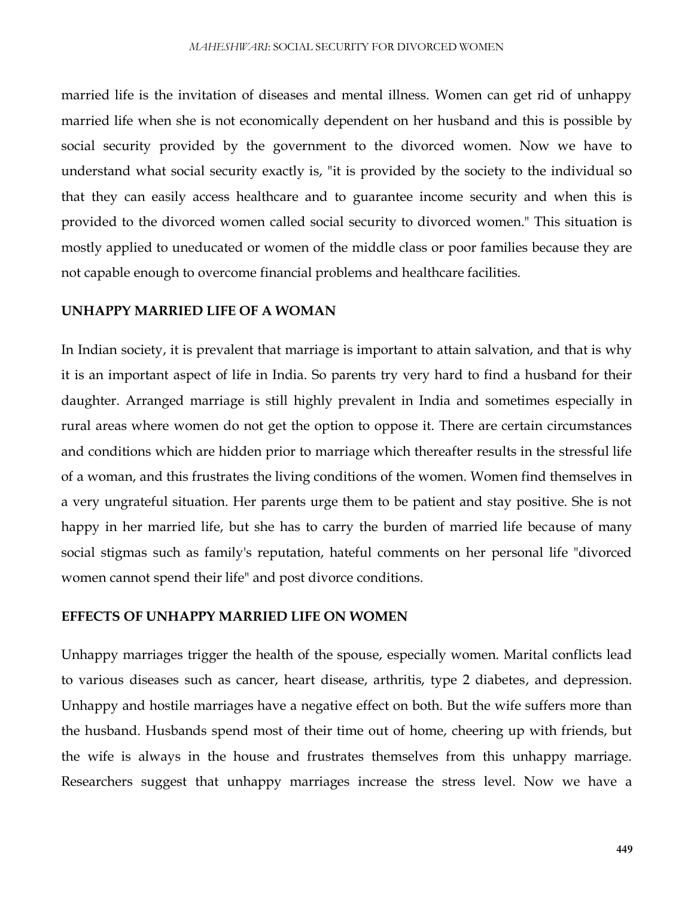married life is the invitation of diseases and mental illness. Women can get rid of unhappy married life when she is not economically dependent on her husband and this is possible by social security provided by the government to the divorced women. Now we have to understand what social security exactly is, "it is provided by the society to the individual so that they can easily access healthcare and to guarantee income security and when this is provided to the divorced women called social security to divorced women." This situation is mostly applied to uneducated or women of the middle class or poor families because they are not capable enough to overcome financial problems and healthcare facilities.

#### **UNHAPPY MARRIED LIFE OF A WOMAN**

In Indian society, it is prevalent that marriage is important to attain salvation, and that is why it is an important aspect of life in India. So parents try very hard to find a husband for their daughter. Arranged marriage is still highly prevalent in India and sometimes especially in rural areas where women do not get the option to oppose it. There are certain circumstances and conditions which are hidden prior to marriage which thereafter results in the stressful life of a woman, and this frustrates the living conditions of the women. Women find themselves in a very ungrateful situation. Her parents urge them to be patient and stay positive. She is not happy in her married life, but she has to carry the burden of married life because of many social stigmas such as family's reputation, hateful comments on her personal life "divorced women cannot spend their life" and post divorce conditions.

#### **EFFECTS OF UNHAPPY MARRIED LIFE ON WOMEN**

Unhappy marriages trigger the health of the spouse, especially women. Marital conflicts lead to various diseases such as cancer, heart disease, arthritis, type 2 diabetes, and depression. Unhappy and hostile marriages have a negative effect on both. But the wife suffers more than the husband. Husbands spend most of their time out of home, cheering up with friends, but the wife is always in the house and frustrates themselves from this unhappy marriage. Researchers suggest that unhappy marriages increase the stress level. Now we have a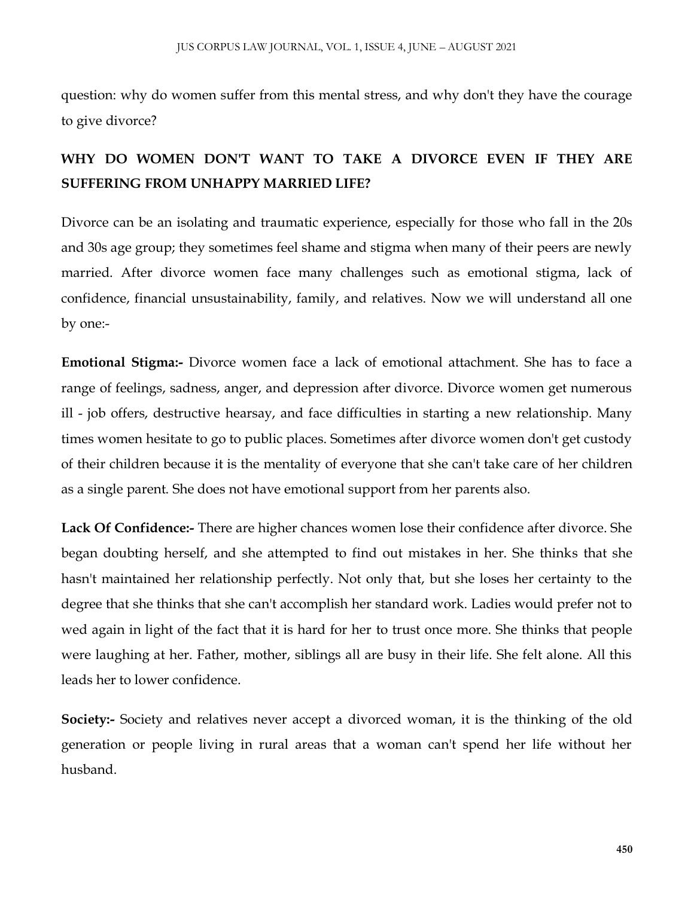question: why do women suffer from this mental stress, and why don't they have the courage to give divorce?

## **WHY DO WOMEN DON'T WANT TO TAKE A DIVORCE EVEN IF THEY ARE SUFFERING FROM UNHAPPY MARRIED LIFE?**

Divorce can be an isolating and traumatic experience, especially for those who fall in the 20s and 30s age group; they sometimes feel shame and stigma when many of their peers are newly married. After divorce women face many challenges such as emotional stigma, lack of confidence, financial unsustainability, family, and relatives. Now we will understand all one by one:-

**Emotional Stigma:-** Divorce women face a lack of emotional attachment. She has to face a range of feelings, sadness, anger, and depression after divorce. Divorce women get numerous ill - job offers, destructive hearsay, and face difficulties in starting a new relationship. Many times women hesitate to go to public places. Sometimes after divorce women don't get custody of their children because it is the mentality of everyone that she can't take care of her children as a single parent. She does not have emotional support from her parents also.

**Lack Of Confidence:-** There are higher chances women lose their confidence after divorce. She began doubting herself, and she attempted to find out mistakes in her. She thinks that she hasn't maintained her relationship perfectly. Not only that, but she loses her certainty to the degree that she thinks that she can't accomplish her standard work. Ladies would prefer not to wed again in light of the fact that it is hard for her to trust once more. She thinks that people were laughing at her. Father, mother, siblings all are busy in their life. She felt alone. All this leads her to lower confidence.

**Society:-** Society and relatives never accept a divorced woman, it is the thinking of the old generation or people living in rural areas that a woman can't spend her life without her husband.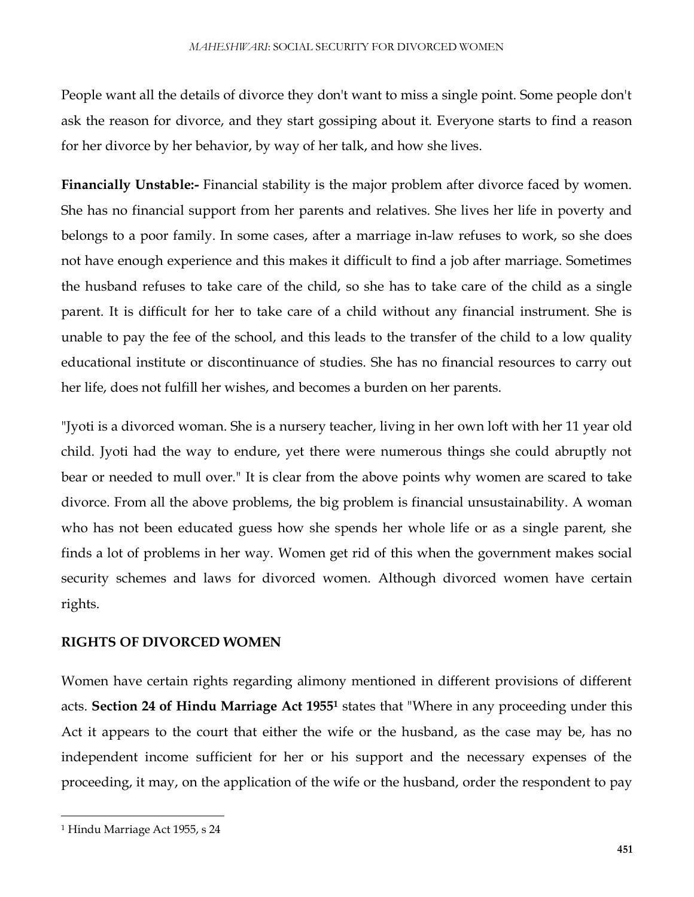People want all the details of divorce they don't want to miss a single point. Some people don't ask the reason for divorce, and they start gossiping about it. Everyone starts to find a reason for her divorce by her behavior, by way of her talk, and how she lives.

**Financially Unstable:-** Financial stability is the major problem after divorce faced by women. She has no financial support from her parents and relatives. She lives her life in poverty and belongs to a poor family. In some cases, after a marriage in-law refuses to work, so she does not have enough experience and this makes it difficult to find a job after marriage. Sometimes the husband refuses to take care of the child, so she has to take care of the child as a single parent. It is difficult for her to take care of a child without any financial instrument. She is unable to pay the fee of the school, and this leads to the transfer of the child to a low quality educational institute or discontinuance of studies. She has no financial resources to carry out her life, does not fulfill her wishes, and becomes a burden on her parents.

"Jyoti is a divorced woman. She is a nursery teacher, living in her own loft with her 11 year old child. Jyoti had the way to endure, yet there were numerous things she could abruptly not bear or needed to mull over." It is clear from the above points why women are scared to take divorce. From all the above problems, the big problem is financial unsustainability. A woman who has not been educated guess how she spends her whole life or as a single parent, she finds a lot of problems in her way. Women get rid of this when the government makes social security schemes and laws for divorced women. Although divorced women have certain rights.

#### **RIGHTS OF DIVORCED WOMEN**

Women have certain rights regarding alimony mentioned in different provisions of different acts. **Section 24 of Hindu Marriage Act 1955<sup>1</sup>** states that "Where in any proceeding under this Act it appears to the court that either the wife or the husband, as the case may be, has no independent income sufficient for her or his support and the necessary expenses of the proceeding, it may, on the application of the wife or the husband, order the respondent to pay

 $\overline{\phantom{a}}$ 

<sup>1</sup> Hindu Marriage Act 1955, s 24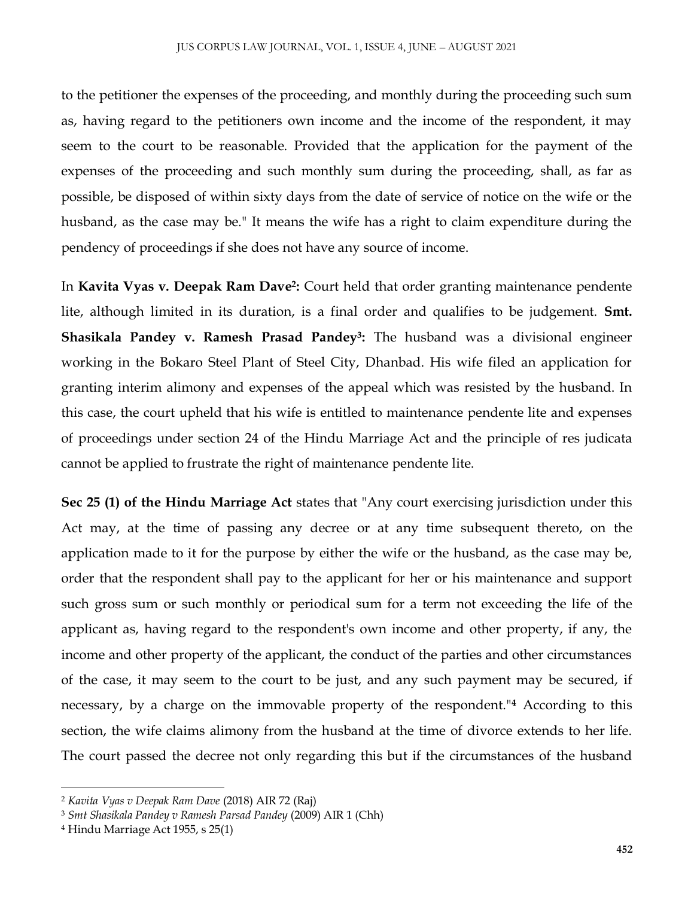to the petitioner the expenses of the proceeding, and monthly during the proceeding such sum as, having regard to the petitioners own income and the income of the respondent, it may seem to the court to be reasonable. Provided that the application for the payment of the expenses of the proceeding and such monthly sum during the proceeding, shall, as far as possible, be disposed of within sixty days from the date of service of notice on the wife or the husband, as the case may be." It means the wife has a right to claim expenditure during the pendency of proceedings if she does not have any source of income.

In **Kavita Vyas v. Deepak Ram Dave 2 :** Court held that order granting maintenance pendente lite, although limited in its duration, is a final order and qualifies to be judgement. **Smt. Shasikala Pandey v. Ramesh Prasad Pandey<sup>3</sup> :** The husband was a divisional engineer working in the Bokaro Steel Plant of Steel City, Dhanbad. His wife filed an application for granting interim alimony and expenses of the appeal which was resisted by the husband. In this case, the court upheld that his wife is entitled to maintenance pendente lite and expenses of proceedings under section 24 of the Hindu Marriage Act and the principle of res judicata cannot be applied to frustrate the right of maintenance pendente lite.

**Sec 25 (1) of the Hindu Marriage Act** states that "Any court exercising jurisdiction under this Act may, at the time of passing any decree or at any time subsequent thereto, on the application made to it for the purpose by either the wife or the husband, as the case may be, order that the respondent shall pay to the applicant for her or his maintenance and support such gross sum or such monthly or periodical sum for a term not exceeding the life of the applicant as, having regard to the respondent's own income and other property, if any, the income and other property of the applicant, the conduct of the parties and other circumstances of the case, it may seem to the court to be just, and any such payment may be secured, if necessary, by a charge on the immovable property of the respondent."**<sup>4</sup>** According to this section, the wife claims alimony from the husband at the time of divorce extends to her life. The court passed the decree not only regarding this but if the circumstances of the husband

 $\overline{\phantom{a}}$ 

<sup>2</sup> *Kavita Vyas v Deepak Ram Dave* (2018) AIR 72 (Raj)

<sup>3</sup> *Smt Shasikala Pandey v Ramesh Parsad Pandey* (2009) AIR 1 (Chh)

<sup>4</sup> Hindu Marriage Act 1955, s 25(1)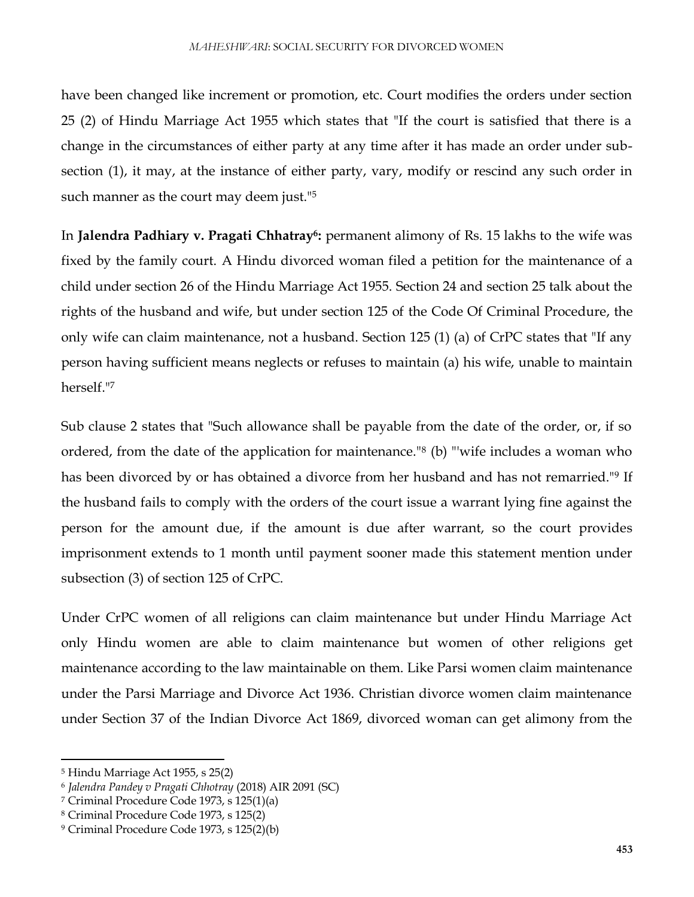have been changed like increment or promotion, etc. Court modifies the orders under section 25 (2) of Hindu Marriage Act 1955 which states that "If the court is satisfied that there is a change in the circumstances of either party at any time after it has made an order under subsection (1), it may, at the instance of either party, vary, modify or rescind any such order in such manner as the court may deem just.<sup>15</sup>

In **Jalendra Padhiary v. Pragati Chhatray<sup>6</sup> :** permanent alimony of Rs. 15 lakhs to the wife was fixed by the family court. A Hindu divorced woman filed a petition for the maintenance of a child under section 26 of the Hindu Marriage Act 1955. Section 24 and section 25 talk about the rights of the husband and wife, but under section 125 of the Code Of Criminal Procedure, the only wife can claim maintenance, not a husband. Section 125 (1) (a) of CrPC states that "If any person having sufficient means neglects or refuses to maintain (a) his wife, unable to maintain herself."<sup>7</sup>

Sub clause 2 states that "Such allowance shall be payable from the date of the order, or, if so ordered, from the date of the application for maintenance."<sup>8</sup> (b) "'wife includes a woman who has been divorced by or has obtained a divorce from her husband and has not remarried."<sup>9</sup> If the husband fails to comply with the orders of the court issue a warrant lying fine against the person for the amount due, if the amount is due after warrant, so the court provides imprisonment extends to 1 month until payment sooner made this statement mention under subsection (3) of section 125 of CrPC.

Under CrPC women of all religions can claim maintenance but under Hindu Marriage Act only Hindu women are able to claim maintenance but women of other religions get maintenance according to the law maintainable on them. Like Parsi women claim maintenance under the Parsi Marriage and Divorce Act 1936. Christian divorce women claim maintenance under Section 37 of the Indian Divorce Act 1869, divorced woman can get alimony from the

 $\overline{a}$ 

<sup>5</sup> Hindu Marriage Act 1955, s 25(2)

<sup>6</sup> *Jalendra Pandey v Pragati Chhotray* (2018) AIR 2091 (SC)

<sup>7</sup> Criminal Procedure Code 1973, s 125(1)(a)

<sup>8</sup> Criminal Procedure Code 1973, s 125(2)

<sup>9</sup> Criminal Procedure Code 1973, s 125(2)(b)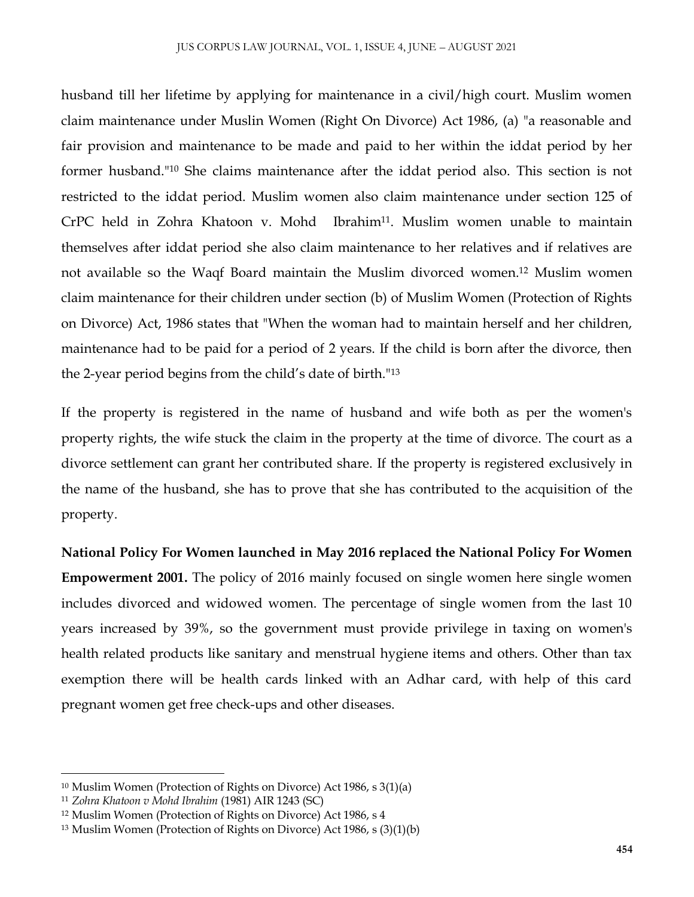husband till her lifetime by applying for maintenance in a civil/high court. Muslim women claim maintenance under Muslin Women (Right On Divorce) Act 1986, (a) "a reasonable and fair provision and maintenance to be made and paid to her within the iddat period by her former husband."<sup>10</sup> She claims maintenance after the iddat period also. This section is not restricted to the iddat period. Muslim women also claim maintenance under section 125 of CrPC held in Zohra Khatoon v. Mohd Ibrahim11. Muslim women unable to maintain themselves after iddat period she also claim maintenance to her relatives and if relatives are not available so the Waqf Board maintain the Muslim divorced women.<sup>12</sup> Muslim women claim maintenance for their children under section (b) of Muslim Women (Protection of Rights on Divorce) Act, 1986 states that "When the woman had to maintain herself and her children, maintenance had to be paid for a period of 2 years. If the child is born after the divorce, then the 2-year period begins from the child's date of birth."<sup>13</sup>

If the property is registered in the name of husband and wife both as per the women's property rights, the wife stuck the claim in the property at the time of divorce. The court as a divorce settlement can grant her contributed share. If the property is registered exclusively in the name of the husband, she has to prove that she has contributed to the acquisition of the property.

**National Policy For Women launched in May 2016 replaced the National Policy For Women Empowerment 2001.** The policy of 2016 mainly focused on single women here single women includes divorced and widowed women. The percentage of single women from the last 10 years increased by 39%, so the government must provide privilege in taxing on women's health related products like sanitary and menstrual hygiene items and others. Other than tax exemption there will be health cards linked with an Adhar card, with help of this card pregnant women get free check-ups and other diseases.

 $\overline{\phantom{a}}$ 

<sup>10</sup> Muslim Women (Protection of Rights on Divorce) Act 1986, s 3(1)(a)

<sup>11</sup> *Zohra Khatoon v Mohd Ibrahim* (1981) AIR 1243 (SC)

<sup>12</sup> Muslim Women (Protection of Rights on Divorce) Act 1986, s 4

<sup>13</sup> Muslim Women (Protection of Rights on Divorce) Act 1986, s (3)(1)(b)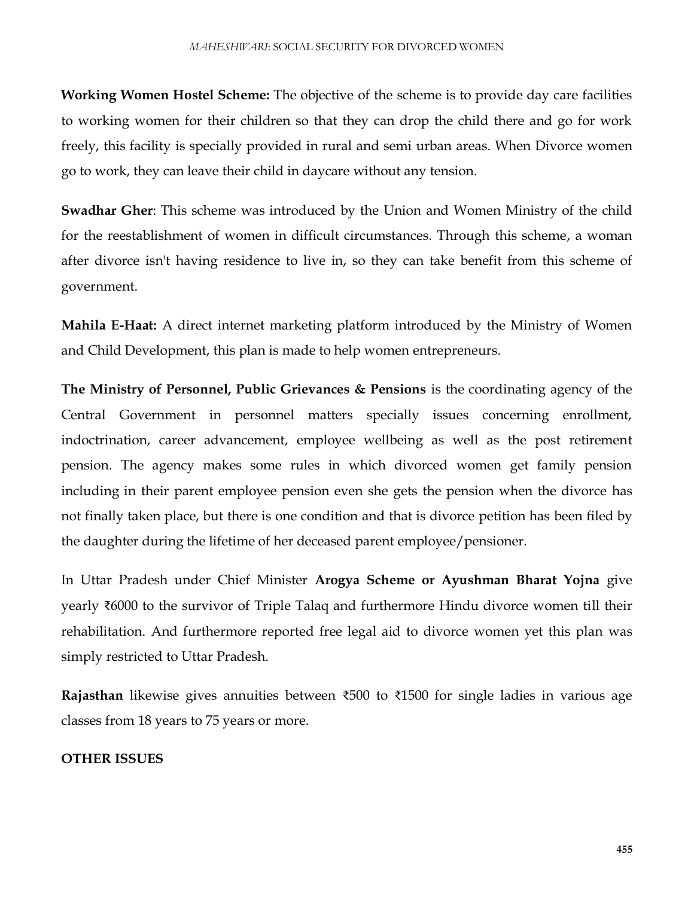**Working Women Hostel Scheme:** The objective of the scheme is to provide day care facilities to working women for their children so that they can drop the child there and go for work freely, this facility is specially provided in rural and semi urban areas. When Divorce women go to work, they can leave their child in daycare without any tension.

**Swadhar Gher**: This scheme was introduced by the Union and Women Ministry of the child for the reestablishment of women in difficult circumstances. Through this scheme, a woman after divorce isn't having residence to live in, so they can take benefit from this scheme of government.

**Mahila E-Haat:** A direct internet marketing platform introduced by the Ministry of Women and Child Development, this plan is made to help women entrepreneurs.

**The Ministry of Personnel, Public Grievances & Pensions** is the coordinating agency of the Central Government in personnel matters specially issues concerning enrollment, indoctrination, career advancement, employee wellbeing as well as the post retirement pension. The agency makes some rules in which divorced women get family pension including in their parent employee pension even she gets the pension when the divorce has not finally taken place, but there is one condition and that is divorce petition has been filed by the daughter during the lifetime of her deceased parent employee/pensioner.

In Uttar Pradesh under Chief Minister **Arogya Scheme or Ayushman Bharat Yojna** give yearly ₹6000 to the survivor of Triple Talaq and furthermore Hindu divorce women till their rehabilitation. And furthermore reported free legal aid to divorce women yet this plan was simply restricted to Uttar Pradesh.

**Rajasthan** likewise gives annuities between ₹500 to ₹1500 for single ladies in various age classes from 18 years to 75 years or more.

#### **OTHER ISSUES**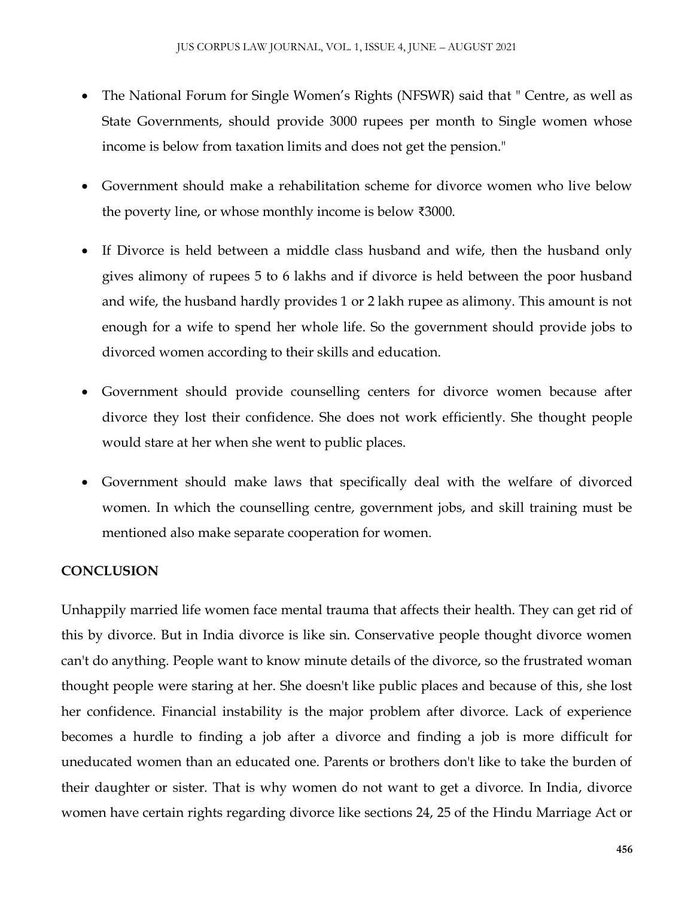- The National Forum for Single Women's Rights (NFSWR) said that " Centre, as well as State Governments, should provide 3000 rupees per month to Single women whose income is below from taxation limits and does not get the pension."
- Government should make a rehabilitation scheme for divorce women who live below the poverty line, or whose monthly income is below ₹3000.
- If Divorce is held between a middle class husband and wife, then the husband only gives alimony of rupees 5 to 6 lakhs and if divorce is held between the poor husband and wife, the husband hardly provides 1 or 2 lakh rupee as alimony. This amount is not enough for a wife to spend her whole life. So the government should provide jobs to divorced women according to their skills and education.
- Government should provide counselling centers for divorce women because after divorce they lost their confidence. She does not work efficiently. She thought people would stare at her when she went to public places.
- Government should make laws that specifically deal with the welfare of divorced women. In which the counselling centre, government jobs, and skill training must be mentioned also make separate cooperation for women.

### **CONCLUSION**

Unhappily married life women face mental trauma that affects their health. They can get rid of this by divorce. But in India divorce is like sin. Conservative people thought divorce women can't do anything. People want to know minute details of the divorce, so the frustrated woman thought people were staring at her. She doesn't like public places and because of this, she lost her confidence. Financial instability is the major problem after divorce. Lack of experience becomes a hurdle to finding a job after a divorce and finding a job is more difficult for uneducated women than an educated one. Parents or brothers don't like to take the burden of their daughter or sister. That is why women do not want to get a divorce. In India, divorce women have certain rights regarding divorce like sections 24, 25 of the Hindu Marriage Act or